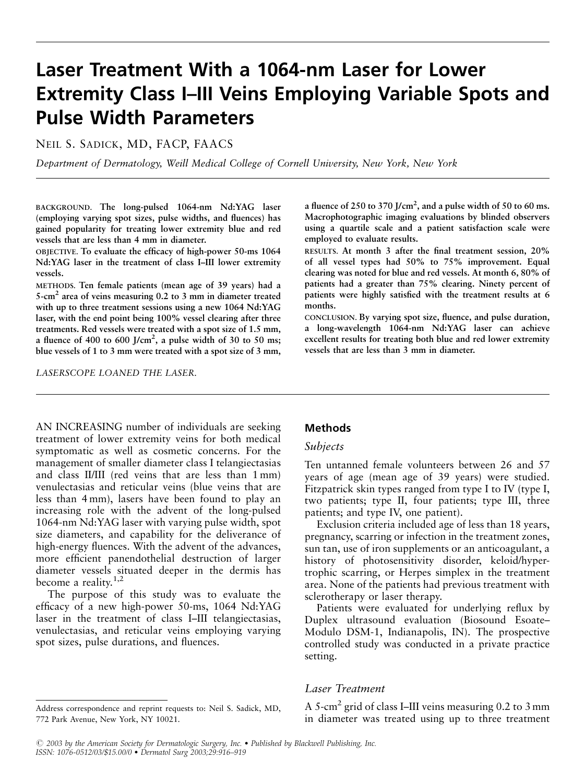# Laser Treatment With a 1064-nm Laser for Lower Extremity Class I–III Veins Employing Variable Spots and Pulse Width Parameters

NEIL S. SADICK, MD, FACP, FAACS

Department of Dermatology, Weill Medical College of Cornell University, New York, New York

BACKGROUND. The long-pulsed 1064-nm Nd:YAG laser (employing varying spot sizes, pulse widths, and fluences) has gained popularity for treating lower extremity blue and red vessels that are less than 4 mm in diameter.

OBJECTIVE. To evaluate the efficacy of high-power 50-ms 1064 Nd:YAG laser in the treatment of class I–III lower extremity vessels.

METHODS. Ten female patients (mean age of 39 years) had a 5-cm2 area of veins measuring 0.2 to 3 mm in diameter treated with up to three treatment sessions using a new 1064 Nd:YAG laser, with the end point being 100% vessel clearing after three treatments. Red vessels were treated with a spot size of 1.5 mm, a fluence of 400 to 600 J/cm<sup>2</sup>, a pulse width of 30 to 50 ms; blue vessels of 1 to 3 mm were treated with a spot size of 3 mm,

LASERSCOPE LOANED THE LASER.

a fluence of 250 to 370 J/cm<sup>2</sup>, and a pulse width of 50 to 60 ms. Macrophotographic imaging evaluations by blinded observers using a quartile scale and a patient satisfaction scale were employed to evaluate results.

RESULTS. At month 3 after the final treatment session, 20% of all vessel types had 50% to 75% improvement. Equal clearing was noted for blue and red vessels. At month 6, 80% of patients had a greater than 75% clearing. Ninety percent of patients were highly satisfied with the treatment results at 6 months.

CONCLUSION. By varying spot size, fluence, and pulse duration, a long-wavelength 1064-nm Nd:YAG laser can achieve excellent results for treating both blue and red lower extremity vessels that are less than 3 mm in diameter.

AN INCREASING number of individuals are seeking treatment of lower extremity veins for both medical symptomatic as well as cosmetic concerns. For the management of smaller diameter class I telangiectasias and class II/III (red veins that are less than 1 mm) venulectasias and reticular veins (blue veins that are less than 4 mm), lasers have been found to play an increasing role with the advent of the long-pulsed 1064-nm Nd:YAG laser with varying pulse width, spot size diameters, and capability for the deliverance of high-energy fluences. With the advent of the advances, more efficient panendothelial destruction of larger diameter vessels situated deeper in the dermis has become a reality.<sup>1,2</sup>

The purpose of this study was to evaluate the efficacy of a new high-power 50-ms, 1064 Nd:YAG laser in the treatment of class I–III telangiectasias, venulectasias, and reticular veins employing varying spot sizes, pulse durations, and fluences.

## Methods

### Subjects

Ten untanned female volunteers between 26 and 57 years of age (mean age of 39 years) were studied. Fitzpatrick skin types ranged from type I to IV (type I, two patients; type II, four patients; type III, three patients; and type IV, one patient).

Exclusion criteria included age of less than 18 years, pregnancy, scarring or infection in the treatment zones, sun tan, use of iron supplements or an anticoagulant, a history of photosensitivity disorder, keloid/hypertrophic scarring, or Herpes simplex in the treatment area. None of the patients had previous treatment with sclerotherapy or laser therapy.

Patients were evaluated for underlying reflux by Duplex ultrasound evaluation (Biosound Esoate– Modulo DSM-1, Indianapolis, IN). The prospective controlled study was conducted in a private practice setting.

# Laser Treatment

A 5-cm<sup>2</sup> grid of class I–III veins measuring  $0.2$  to 3 mm in diameter was treated using up to three treatment

Address correspondence and reprint requests to: Neil S. Sadick, MD, 772 Park Avenue, New York, NY 10021.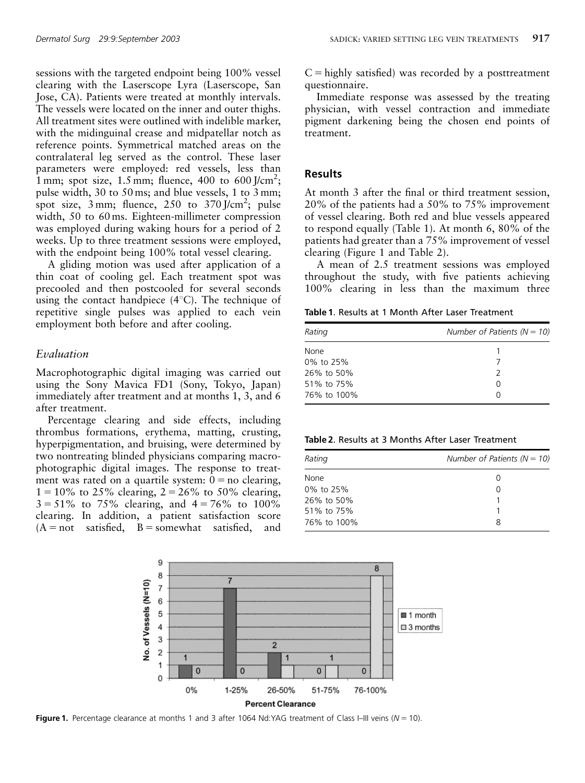sessions with the targeted endpoint being 100% vessel clearing with the Laserscope Lyra (Laserscope, San Jose, CA). Patients were treated at monthly intervals. The vessels were located on the inner and outer thighs. All treatment sites were outlined with indelible marker, with the midinguinal crease and midpatellar notch as reference points. Symmetrical matched areas on the contralateral leg served as the control. These laser parameters were employed: red vessels, less than 1 mm; spot size,  $1.5$  mm; fluence,  $400$  to  $600$  J/cm<sup>2</sup>; pulse width, 30 to 50 ms; and blue vessels, 1 to 3 mm; spot size,  $3 \text{ mm}$ ; fluence,  $250$  to  $370 \text{ J/cm}^2$ ; pulse width, 50 to 60 ms. Eighteen-millimeter compression was employed during waking hours for a period of 2 weeks. Up to three treatment sessions were employed, with the endpoint being 100% total vessel clearing.

A gliding motion was used after application of a thin coat of cooling gel. Each treatment spot was precooled and then postcooled for several seconds using the contact handpiece  $(4^{\circ}C)$ . The technique of repetitive single pulses was applied to each vein employment both before and after cooling.

## Evaluation

Macrophotographic digital imaging was carried out using the Sony Mavica FD1 (Sony, Tokyo, Japan) immediately after treatment and at months 1, 3, and 6 after treatment.

Percentage clearing and side effects, including thrombus formations, erythema, matting, crusting, hyperpigmentation, and bruising, were determined by two nontreating blinded physicians comparing macrophotographic digital images. The response to treatment was rated on a quartile system:  $0 = no$  clearing,  $1 = 10\%$  to 25% clearing,  $2 = 26\%$  to 50% clearing,  $3 = 51\%$  to 75% clearing, and  $4 = 76\%$  to 100% clearing. In addition, a patient satisfaction score  $(A = not satisfied, B = somewhat satisfied, and$ 

 $C =$  highly satisfied) was recorded by a posttreatment questionnaire.

Immediate response was assessed by the treating physician, with vessel contraction and immediate pigment darkening being the chosen end points of treatment.

### Results

At month 3 after the final or third treatment session, 20% of the patients had a 50% to 75% improvement of vessel clearing. Both red and blue vessels appeared to respond equally (Table 1). At month 6, 80% of the patients had greater than a 75% improvement of vessel clearing (Figure 1 and Table 2).

A mean of 2.5 treatment sessions was employed throughout the study, with five patients achieving 100% clearing in less than the maximum three

Table 1. Results at 1 Month After Laser Treatment

| Rating      | Number of Patients ( $N = 10$ ) |
|-------------|---------------------------------|
| <b>None</b> |                                 |
| 0% to 25%   |                                 |
| 26% to 50%  |                                 |
| 51% to 75%  | ∩                               |
| 76% to 100% | O                               |

| Table 2. Results at 3 Months After Laser Treatment |  |  |  |  |  |
|----------------------------------------------------|--|--|--|--|--|
|----------------------------------------------------|--|--|--|--|--|

| Rating      | Number of Patients ( $N = 10$ ) |
|-------------|---------------------------------|
| None        | O                               |
| 0% to 25%   | O                               |
| 26% to 50%  |                                 |
| 51% to 75%  |                                 |
| 76% to 100% | 8                               |
|             |                                 |



Figure 1. Percentage clearance at months 1 and 3 after 1064 Nd:YAG treatment of Class I–III veins ( $N = 10$ ).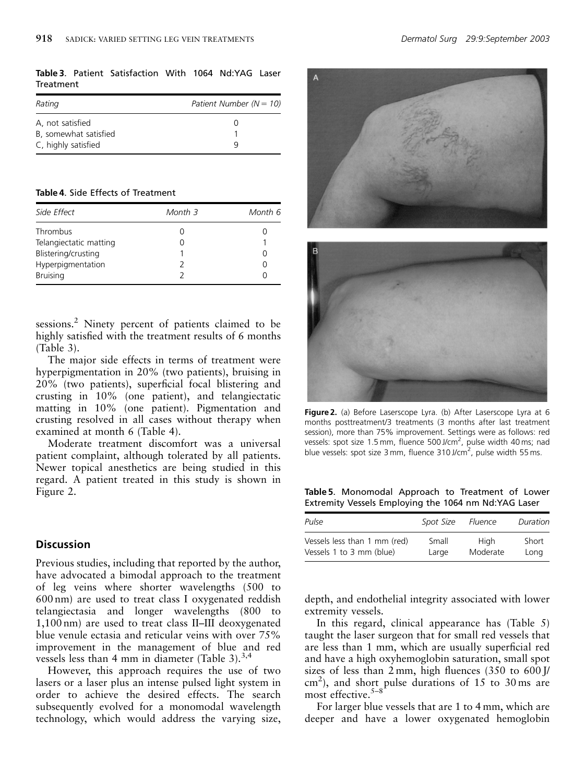Table 3. Patient Satisfaction With 1064 Nd:YAG Laser **Treatment** 

| Patient Number ( $N = 10$ ) |  |  |
|-----------------------------|--|--|
|                             |  |  |
|                             |  |  |
|                             |  |  |
|                             |  |  |

Table 4. Side Effects of Treatment

| Side Effect            | Month 3 | Month 6 |  |
|------------------------|---------|---------|--|
| Thrombus               |         |         |  |
| Telangiectatic matting |         |         |  |
| Blistering/crusting    |         |         |  |
| Hyperpigmentation      |         |         |  |
| <b>Bruising</b>        |         |         |  |

sessions.<sup>2</sup> Ninety percent of patients claimed to be highly satisfied with the treatment results of 6 months (Table 3).

The major side effects in terms of treatment were hyperpigmentation in 20% (two patients), bruising in 20% (two patients), superficial focal blistering and crusting in 10% (one patient), and telangiectatic matting in 10% (one patient). Pigmentation and crusting resolved in all cases without therapy when examined at month 6 (Table 4).

Moderate treatment discomfort was a universal patient complaint, although tolerated by all patients. Newer topical anesthetics are being studied in this regard. A patient treated in this study is shown in Figure 2.

#### **Discussion**

Previous studies, including that reported by the author, have advocated a bimodal approach to the treatment of leg veins where shorter wavelengths (500 to 600 nm) are used to treat class I oxygenated reddish telangiectasia and longer wavelengths (800 to 1,100 nm) are used to treat class II–III deoxygenated blue venule ectasia and reticular veins with over 75% improvement in the management of blue and red vessels less than 4 mm in diameter (Table 3). $^{3,4}$ 

However, this approach requires the use of two lasers or a laser plus an intense pulsed light system in order to achieve the desired effects. The search subsequently evolved for a monomodal wavelength technology, which would address the varying size,





Figure 2. (a) Before Laserscope Lyra. (b) After Laserscope Lyra at 6 months posttreatment/3 treatments (3 months after last treatment session), more than 75% improvement. Settings were as follows: red vessels: spot size 1.5 mm, fluence 500 J/cm<sup>2</sup>, pulse width 40 ms; nad blue vessels: spot size 3 mm, fluence 310 J/cm<sup>2</sup>, pulse width 55 ms.

Table 5. Monomodal Approach to Treatment of Lower Extremity Vessels Employing the 1064 nm Nd:YAG Laser

| Pulse                        | Spot Size | Fluence  | Duration |
|------------------------------|-----------|----------|----------|
| Vessels less than 1 mm (red) | Small     | Hiah     | Short    |
| Vessels 1 to 3 mm (blue)     | Large     | Moderate | Lona     |

depth, and endothelial integrity associated with lower extremity vessels.

In this regard, clinical appearance has (Table 5) taught the laser surgeon that for small red vessels that are less than 1 mm, which are usually superficial red and have a high oxyhemoglobin saturation, small spot sizes of less than 2 mm, high fluences (350 to 600 J/ cm<sup>2</sup>), and short pulse durations of 15 to 30 ms are most effective.<sup>5-8</sup>

For larger blue vessels that are 1 to 4 mm, which are deeper and have a lower oxygenated hemoglobin